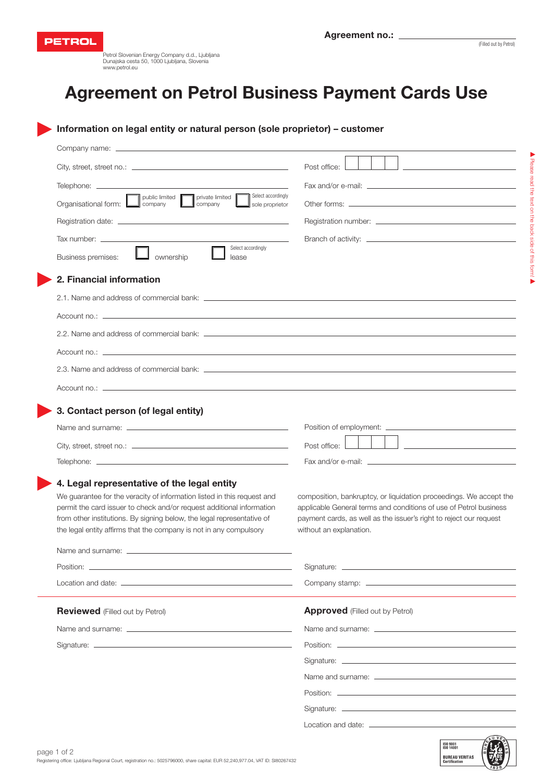

Petrol Slovenian Energy Company d.d., Ljubljana Dunajska cesta 50, 1000 Ljubljana, Slovenia www.petrol.eu

## Agreement on Petrol Business Payment Cards Use

2. Financial information Select accordingly Select accordingly Company name: City, street, street no.: \_ Telephone: \_ Registration date: Tax number: . 2.1. Name and address of commercial bank: Organisational form: Business premises: public limited | company ownership **L** lease sole proprietor Fax and/or e-mail: Registration number: Branch of activity: \_ Other forms: Post office: private limited company

Information on legal entity or natural person (sole proprietor) – customer

| $\overline{A}$ countries. $\overline{A}$ and $\overline{A}$ are the set of $\overline{A}$ and $\overline{A}$ are the set of $\overline{A}$ and $\overline{A}$ are the set of $\overline{A}$ and $\overline{A}$ are the set of $\overline{A}$ and $\overline{A}$ are the set of $\overline{A}$ and $\over$ |
|-----------------------------------------------------------------------------------------------------------------------------------------------------------------------------------------------------------------------------------------------------------------------------------------------------------|
|                                                                                                                                                                                                                                                                                                           |
|                                                                                                                                                                                                                                                                                                           |
|                                                                                                                                                                                                                                                                                                           |

Account no.:  $\qquad$ 

#### 3. Contact person (of legal entity)

| Name and surname: _ | Position of employment: ____________ |
|---------------------|--------------------------------------|
|                     | Post office:                         |
|                     |                                      |
|                     |                                      |

#### 4. Legal representative of the legal entity

We guarantee for the veracity of information listed in this request and permit the card issuer to check and/or request additional information from other institutions. By signing below, the legal representative of the legal entity affirms that the company is not in any compulsory

| composition, bankruptcy, or liquidation proceedings. We accept the |
|--------------------------------------------------------------------|
| applicable General terms and conditions of use of Petrol business  |
| payment cards, as well as the issuer's right to reject our request |
| without an explanation.                                            |

### **Reviewed** (Filled out by Petrol) **Approved** (Filled out by Petrol) Location and date: \_ Company stamp:

Name and surname: Name and surname:

Name and surname:

Signature: \_

Position:

| Position: |  |
|-----------|--|
|           |  |

Signature: \_

Signature:

Name and surname:

Position: \_

Signature:

Location and date: \_\_\_\_